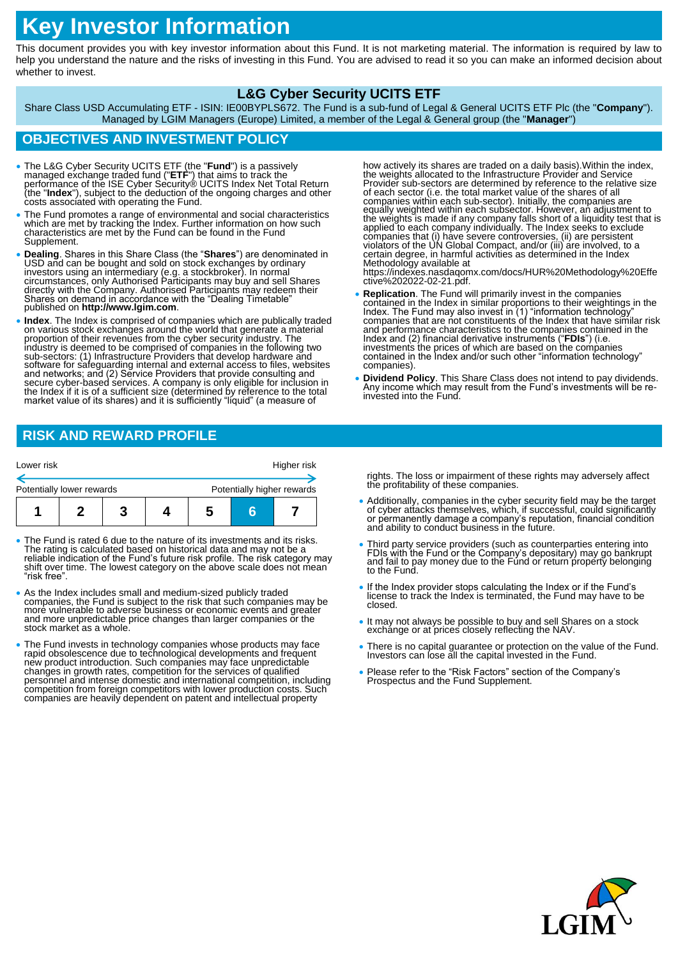# **Key Investor Information**

This document provides you with key investor information about this Fund. It is not marketing material. The information is required by law to help you understand the nature and the risks of investing in this Fund. You are advised to read it so you can make an informed decision about whether to invest.

## **L&G Cyber Security UCITS ETF**

Share Class USD Accumulating ETF - ISIN: IE00BYPLS672. The Fund is a sub-fund of Legal & General UCITS ETF Plc (the "**Company**"). Managed by LGIM Managers (Europe) Limited, a member of the Legal & General group (the "**Manager**")

## **OBJECTIVES AND INVESTMENT POLICY**

- The L&G Cyber Security UCITS ETF (the "**Fund**") is a passively managed exchange traded fund ("**ETF**") that aims to track the performance of the ISE Cyber Security® UCITS Index Net Total Return (the "**Index**"), subject to the deduction of the ongoing charges and other<br>costs associated with operating the Fund.
- The Fund promotes a range of environmental and social characteristics which are met by tracking the Index. Further information on how such characteristics are met by the Fund can be found in the Fund Supplement.
- Dealing. Shares in this Share Class (the "Shares") are denominated in USD and can be bought and sold on stock exchanges by ordinary investors using an intermediary (e.g. a stockbroker). In normal circumstances, only Auth directly with the Company. Authorised Participants may redeem their Shares on demand in accordance with the "Dealing Timetable" published on **http://www.lgim.com**.
- **Index**. The Index is comprised of companies which are publically traded on various stock exchanges around the world that generate a material proportion of their revenues from the cyber security industry. The<br>industry is deemed to be comprised of companies in the following two<br>sub-sectors: (1) Infrastructure Providers that develop hardware and<br>software for safeg secure cyber-based services. A company is only eligible for inclusion in the Index if it is of a sufficient size (determined by reference to the total market value of its shares) and it is sufficiently "liquid" (a measure of

how actively its shares are traded on a daily basis). Within the index,<br>the weights allocated to the Infrastructure Provider and Service<br>Provider sub-sectors are determined by reference to the relative size<br>of each sector certain degree, in harmful activities as determined in the Index

Methodology available at https://indexes.nasdaqomx.com/docs/HUR%20Methodology%20Effe ctive%202022-02-21.pdf.

- **Replication**. The Fund will primarily invest in the companies<br>contained in the Index in similar proportions to their weightings in the<br>Index. The Fund may also invest in (1) "information technology"<br>companies that are n Index and (2) financial derivative instruments ("**FDIs**") (i.e. investments the prices of which are based on the companies contained in the Index and/or such other "information technology" companies).
- **Dividend Policy**. This Share Class does not intend to pay dividends. Any income which may result from the Fund's investments will be reinvested into the Fund.

# **RISK AND REWARD PROFILE**

| Lower risk                |  | Higher risk |  |                            |  |  |
|---------------------------|--|-------------|--|----------------------------|--|--|
| Potentially lower rewards |  |             |  | Potentially higher rewards |  |  |
|                           |  |             |  |                            |  |  |
|                           |  |             |  |                            |  |  |

- The Fund is rated 6 due to the nature of its investments and its risks. The rating is calculated based on historical data and may not be a reliable indication of the Fund's future risk profile. The risk category may shift over time. The lowest category on the above scale does not mean "risk free".
- As the Index includes small and medium-sized publicly traded companies, the Fund is subject to the risk that such companies may be<br>more vulnerable to adverse business or economic events and greater and more unpredictable price changes than larger companies or the stock market as a whole.
- The Fund invests in technology companies whose products may face rapid obsolescence due to technological developments and frequent<br>new product introduction. Such companies may face unpredictable<br>changes in growth rates, competition for the services of qualified<br>personnel and intense dom competition from foreign competitors with lower production costs. Such companies are heavily dependent on patent and intellectual property

rights. The loss or impairment of these rights may adversely affect the profitability of these companies.

- Additionally, companies in the cyber security field may be the target of cyber attacks themselves, which, if successful, could significantly or permanently damage a company's reputation, financial condition and ability to conduct business in the future.
- Third party service providers (such as counterparties entering into FDIs with the Fund or the Company's depositary) may go bankrupt and fail to pay money due to the Fund or return property belonging to the Fund.
- If the Index provider stops calculating the Index or if the Fund's license to track the Index is terminated, the Fund may have to be closed.
- It may not always be possible to buy and sell Shares on a stock exchange or at prices closely reflecting the NAV.
- There is no capital guarantee or protection on the value of the Fund. Investors can lose all the capital invested in the Fund.
- Please refer to the "Risk Factors" section of the Company's Prospectus and the Fund Supplement.